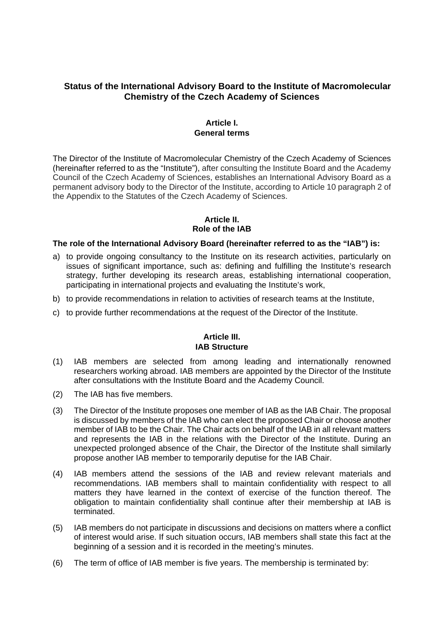# **Status of the International Advisory Board to the Institute of Macromolecular Chemistry of the Czech Academy of Sciences**

### **Article I. General terms**

The Director of the Institute of Macromolecular Chemistry of the Czech Academy of Sciences (hereinafter referred to as the "Institute"), after consulting the Institute Board and the Academy Council of the Czech Academy of Sciences, establishes an International Advisory Board as a permanent advisory body to the Director of the Institute, according to Article 10 paragraph 2 of the Appendix to the Statutes of the Czech Academy of Sciences.

## **Article II. Role of the IAB**

#### **The role of the International Advisory Board (hereinafter referred to as the "IAB") is:**

- a) to provide ongoing consultancy to the Institute on its research activities, particularly on issues of significant importance, such as: defining and fulfilling the Institute's research strategy, further developing its research areas, establishing international cooperation, participating in international projects and evaluating the Institute's work,
- b) to provide recommendations in relation to activities of research teams at the Institute,
- c) to provide further recommendations at the request of the Director of the Institute.

#### **Article III. IAB Structure**

- (1) IAB members are selected from among leading and internationally renowned researchers working abroad. IAB members are appointed by the Director of the Institute after consultations with the Institute Board and the Academy Council.
- (2) The IAB has five members.
- (3) The Director of the Institute proposes one member of IAB as the IAB Chair. The proposal is discussed by members of the IAB who can elect the proposed Chair or choose another member of IAB to be the Chair. The Chair acts on behalf of the IAB in all relevant matters and represents the IAB in the relations with the Director of the Institute. During an unexpected prolonged absence of the Chair, the Director of the Institute shall similarly propose another IAB member to temporarily deputise for the IAB Chair.
- (4) IAB members attend the sessions of the IAB and review relevant materials and recommendations. IAB members shall to maintain confidentiality with respect to all matters they have learned in the context of exercise of the function thereof. The obligation to maintain confidentiality shall continue after their membership at IAB is terminated.
- (5) IAB members do not participate in discussions and decisions on matters where a conflict of interest would arise. If such situation occurs, IAB members shall state this fact at the beginning of a session and it is recorded in the meeting's minutes.
- (6) The term of office of IAB member is five years. The membership is terminated by: